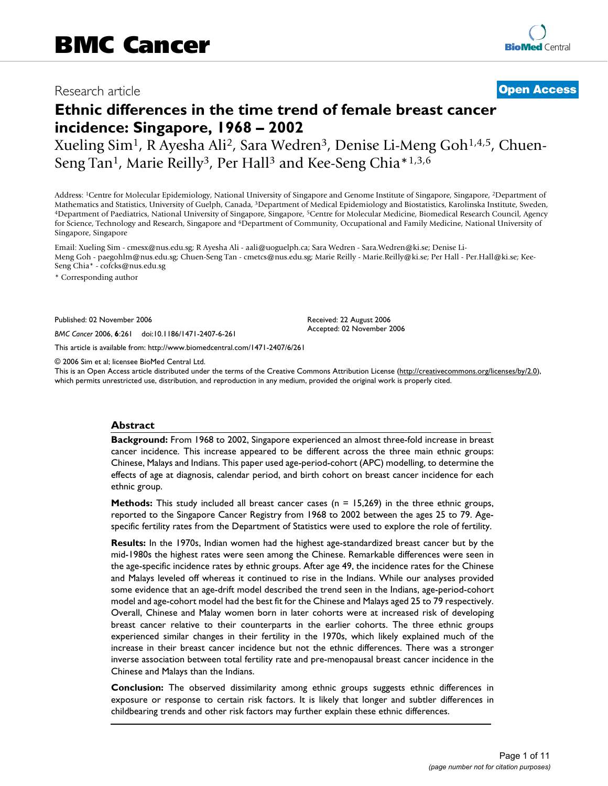# Research article **[Open Access](http://www.biomedcentral.com/info/about/charter/)**

# **Ethnic differences in the time trend of female breast cancer incidence: Singapore, 1968 – 2002**

Xueling Sim<sup>1</sup>, R Ayesha Ali<sup>2</sup>, Sara Wedren<sup>3</sup>, Denise Li-Meng Goh<sup>1,4,5</sup>, Chuen-Seng Tan<sup>1</sup>, Marie Reilly<sup>3</sup>, Per Hall<sup>3</sup> and Kee-Seng Chia\*1,3,6

Address: 1Centre for Molecular Epidemiology, National University of Singapore and Genome Institute of Singapore, Singapore, 2Department of Mathematics and Statistics, University of Guelph, Canada, <sup>3</sup>Department of Medical Epidemiology and Biostatistics, Karolinska Institute, Sweden, 4Department of Paediatrics, National University of Singapore, Singapore, <sup>5</sup>C for Science, Technology and Research, Singapore and <sup>6</sup>Department of Community, Occupational and Family Medicine, National University of Singapore, Singapore

Email: Xueling Sim - cmesx@nus.edu.sg; R Ayesha Ali - aali@uoguelph.ca; Sara Wedren - Sara.Wedren@ki.se; Denise Li-Meng Goh - paegohlm@nus.edu.sg; Chuen-Seng Tan - cmetcs@nus.edu.sg; Marie Reilly - Marie.Reilly@ki.se; Per Hall - Per.Hall@ki.se; Kee-Seng Chia\* - cofcks@nus.edu.sg

\* Corresponding author

Published: 02 November 2006

*BMC Cancer* 2006, **6**:261 doi:10.1186/1471-2407-6-261

[This article is available from: http://www.biomedcentral.com/1471-2407/6/261](http://www.biomedcentral.com/1471-2407/6/261)

© 2006 Sim et al; licensee BioMed Central Ltd.

This is an Open Access article distributed under the terms of the Creative Commons Attribution License [\(http://creativecommons.org/licenses/by/2.0\)](http://creativecommons.org/licenses/by/2.0), which permits unrestricted use, distribution, and reproduction in any medium, provided the original work is properly cited.

Received: 22 August 2006 Accepted: 02 November 2006

#### **Abstract**

**Background:** From 1968 to 2002, Singapore experienced an almost three-fold increase in breast cancer incidence. This increase appeared to be different across the three main ethnic groups: Chinese, Malays and Indians. This paper used age-period-cohort (APC) modelling, to determine the effects of age at diagnosis, calendar period, and birth cohort on breast cancer incidence for each ethnic group.

**Methods:** This study included all breast cancer cases (n = 15,269) in the three ethnic groups, reported to the Singapore Cancer Registry from 1968 to 2002 between the ages 25 to 79. Agespecific fertility rates from the Department of Statistics were used to explore the role of fertility.

**Results:** In the 1970s, Indian women had the highest age-standardized breast cancer but by the mid-1980s the highest rates were seen among the Chinese. Remarkable differences were seen in the age-specific incidence rates by ethnic groups. After age 49, the incidence rates for the Chinese and Malays leveled off whereas it continued to rise in the Indians. While our analyses provided some evidence that an age-drift model described the trend seen in the Indians, age-period-cohort model and age-cohort model had the best fit for the Chinese and Malays aged 25 to 79 respectively. Overall, Chinese and Malay women born in later cohorts were at increased risk of developing breast cancer relative to their counterparts in the earlier cohorts. The three ethnic groups experienced similar changes in their fertility in the 1970s, which likely explained much of the increase in their breast cancer incidence but not the ethnic differences. There was a stronger inverse association between total fertility rate and pre-menopausal breast cancer incidence in the Chinese and Malays than the Indians.

**Conclusion:** The observed dissimilarity among ethnic groups suggests ethnic differences in exposure or response to certain risk factors. It is likely that longer and subtler differences in childbearing trends and other risk factors may further explain these ethnic differences.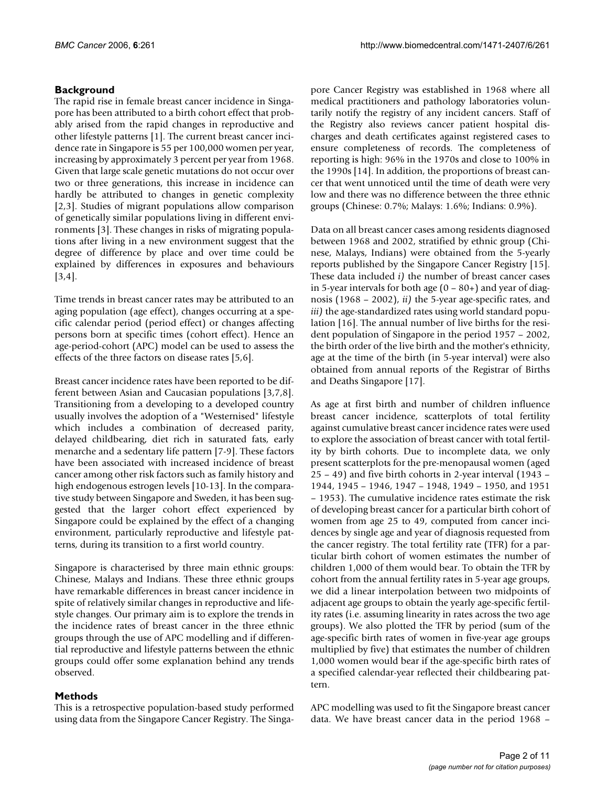# **Background**

The rapid rise in female breast cancer incidence in Singapore has been attributed to a birth cohort effect that probably arised from the rapid changes in reproductive and other lifestyle patterns [1]. The current breast cancer incidence rate in Singapore is 55 per 100,000 women per year, increasing by approximately 3 percent per year from 1968. Given that large scale genetic mutations do not occur over two or three generations, this increase in incidence can hardly be attributed to changes in genetic complexity [2,3]. Studies of migrant populations allow comparison of genetically similar populations living in different environments [3]. These changes in risks of migrating populations after living in a new environment suggest that the degree of difference by place and over time could be explained by differences in exposures and behaviours [3,4].

Time trends in breast cancer rates may be attributed to an aging population (age effect), changes occurring at a specific calendar period (period effect) or changes affecting persons born at specific times (cohort effect). Hence an age-period-cohort (APC) model can be used to assess the effects of the three factors on disease rates [5,6].

Breast cancer incidence rates have been reported to be different between Asian and Caucasian populations [3,7,8]. Transitioning from a developing to a developed country usually involves the adoption of a "Westernised" lifestyle which includes a combination of decreased parity, delayed childbearing, diet rich in saturated fats, early menarche and a sedentary life pattern [7-9]. These factors have been associated with increased incidence of breast cancer among other risk factors such as family history and high endogenous estrogen levels [10-13]. In the comparative study between Singapore and Sweden, it has been suggested that the larger cohort effect experienced by Singapore could be explained by the effect of a changing environment, particularly reproductive and lifestyle patterns, during its transition to a first world country.

Singapore is characterised by three main ethnic groups: Chinese, Malays and Indians. These three ethnic groups have remarkable differences in breast cancer incidence in spite of relatively similar changes in reproductive and lifestyle changes. Our primary aim is to explore the trends in the incidence rates of breast cancer in the three ethnic groups through the use of APC modelling and if differential reproductive and lifestyle patterns between the ethnic groups could offer some explanation behind any trends observed.

# **Methods**

This is a retrospective population-based study performed using data from the Singapore Cancer Registry. The Singapore Cancer Registry was established in 1968 where all medical practitioners and pathology laboratories voluntarily notify the registry of any incident cancers. Staff of the Registry also reviews cancer patient hospital discharges and death certificates against registered cases to ensure completeness of records. The completeness of reporting is high: 96% in the 1970s and close to 100% in the 1990s [14]. In addition, the proportions of breast cancer that went unnoticed until the time of death were very low and there was no difference between the three ethnic groups (Chinese: 0.7%; Malays: 1.6%; Indians: 0.9%).

Data on all breast cancer cases among residents diagnosed between 1968 and 2002, stratified by ethnic group (Chinese, Malays, Indians) were obtained from the 5-yearly reports published by the Singapore Cancer Registry [15]. These data included *i)* the number of breast cancer cases in 5-year intervals for both age  $(0 - 80+)$  and year of diagnosis (1968 – 2002), *ii)* the 5-year age-specific rates, and *iii)* the age-standardized rates using world standard population [16]. The annual number of live births for the resident population of Singapore in the period 1957 – 2002, the birth order of the live birth and the mother's ethnicity, age at the time of the birth (in 5-year interval) were also obtained from annual reports of the Registrar of Births and Deaths Singapore [17].

As age at first birth and number of children influence breast cancer incidence, scatterplots of total fertility against cumulative breast cancer incidence rates were used to explore the association of breast cancer with total fertility by birth cohorts. Due to incomplete data, we only present scatterplots for the pre-menopausal women (aged 25 – 49) and five birth cohorts in 2-year interval (1943 – 1944, 1945 – 1946, 1947 – 1948, 1949 – 1950, and 1951 – 1953). The cumulative incidence rates estimate the risk of developing breast cancer for a particular birth cohort of women from age 25 to 49, computed from cancer incidences by single age and year of diagnosis requested from the cancer registry. The total fertility rate (TFR) for a particular birth cohort of women estimates the number of children 1,000 of them would bear. To obtain the TFR by cohort from the annual fertility rates in 5-year age groups, we did a linear interpolation between two midpoints of adjacent age groups to obtain the yearly age-specific fertility rates (i.e. assuming linearity in rates across the two age groups). We also plotted the TFR by period (sum of the age-specific birth rates of women in five-year age groups multiplied by five) that estimates the number of children 1,000 women would bear if the age-specific birth rates of a specified calendar-year reflected their childbearing pattern.

APC modelling was used to fit the Singapore breast cancer data. We have breast cancer data in the period 1968 –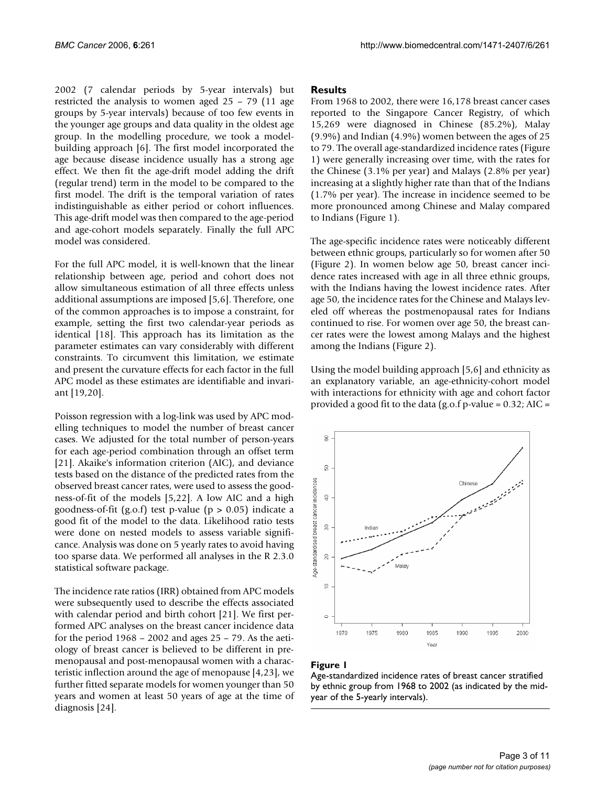2002 (7 calendar periods by 5-year intervals) but restricted the analysis to women aged 25 – 79 (11 age groups by 5-year intervals) because of too few events in the younger age groups and data quality in the oldest age group. In the modelling procedure, we took a modelbuilding approach [6]. The first model incorporated the age because disease incidence usually has a strong age effect. We then fit the age-drift model adding the drift (regular trend) term in the model to be compared to the first model. The drift is the temporal variation of rates indistinguishable as either period or cohort influences. This age-drift model was then compared to the age-period and age-cohort models separately. Finally the full APC model was considered.

For the full APC model, it is well-known that the linear relationship between age, period and cohort does not allow simultaneous estimation of all three effects unless additional assumptions are imposed [5,6]. Therefore, one of the common approaches is to impose a constraint, for example, setting the first two calendar-year periods as identical [18]. This approach has its limitation as the parameter estimates can vary considerably with different constraints. To circumvent this limitation, we estimate and present the curvature effects for each factor in the full APC model as these estimates are identifiable and invariant [19,20].

Poisson regression with a log-link was used by APC modelling techniques to model the number of breast cancer cases. We adjusted for the total number of person-years for each age-period combination through an offset term [21]. Akaike's information criterion (AIC), and deviance tests based on the distance of the predicted rates from the observed breast cancer rates, were used to assess the goodness-of-fit of the models [5,22]. A low AIC and a high goodness-of-fit (g.o.f) test p-value ( $p > 0.05$ ) indicate a good fit of the model to the data. Likelihood ratio tests were done on nested models to assess variable significance. Analysis was done on 5 yearly rates to avoid having too sparse data. We performed all analyses in the R 2.3.0 statistical software package.

The incidence rate ratios (IRR) obtained from APC models were subsequently used to describe the effects associated with calendar period and birth cohort [21]. We first performed APC analyses on the breast cancer incidence data for the period 1968 – 2002 and ages 25 – 79. As the aetiology of breast cancer is believed to be different in premenopausal and post-menopausal women with a characteristic inflection around the age of menopause [4,23], we further fitted separate models for women younger than 50 years and women at least 50 years of age at the time of diagnosis [24].

#### **Results**

From 1968 to 2002, there were 16,178 breast cancer cases reported to the Singapore Cancer Registry, of which 15,269 were diagnosed in Chinese (85.2%), Malay (9.9%) and Indian (4.9%) women between the ages of 25 to 79. The overall age-standardized incidence rates (Figure 1) were generally increasing over time, with the rates for the Chinese (3.1% per year) and Malays (2.8% per year) increasing at a slightly higher rate than that of the Indians (1.7% per year). The increase in incidence seemed to be more pronounced among Chinese and Malay compared to Indians (Figure 1).

The age-specific incidence rates were noticeably different between ethnic groups, particularly so for women after 50 (Figure 2). In women below age 50, breast cancer incidence rates increased with age in all three ethnic groups, with the Indians having the lowest incidence rates. After age 50, the incidence rates for the Chinese and Malays leveled off whereas the postmenopausal rates for Indians continued to rise. For women over age 50, the breast cancer rates were the lowest among Malays and the highest among the Indians (Figure 2).

Using the model building approach [5,6] and ethnicity as an explanatory variable, an age-ethnicity-cohort model with interactions for ethnicity with age and cohort factor provided a good fit to the data  $(g.o.f.p-value = 0.32; AIC =$ 



#### Figure 1

Age-standardized incidence rates of breast cancer stratified by ethnic group from 1968 to 2002 (as indicated by the midyear of the 5-yearly intervals).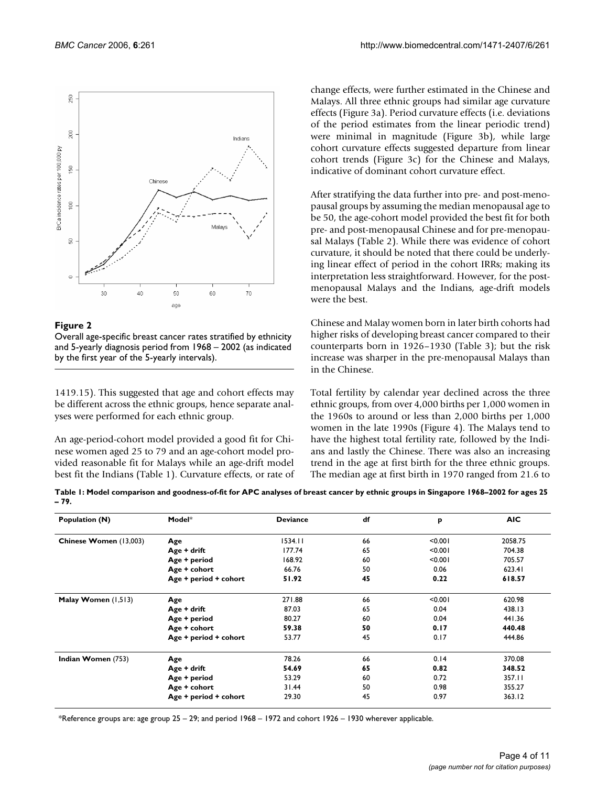

Figure 2

Overall age-specific breast cancer rates stratified by ethnicity and 5-yearly diagnosis period from 1968 – 2002 (as indicated by the first year of the 5-yearly intervals).

1419.15). This suggested that age and cohort effects may be different across the ethnic groups, hence separate analyses were performed for each ethnic group.

An age-period-cohort model provided a good fit for Chinese women aged 25 to 79 and an age-cohort model provided reasonable fit for Malays while an age-drift model best fit the Indians (Table 1). Curvature effects, or rate of change effects, were further estimated in the Chinese and Malays. All three ethnic groups had similar age curvature effects (Figure 3a). Period curvature effects (i.e. deviations of the period estimates from the linear periodic trend) were minimal in magnitude (Figure 3b), while large cohort curvature effects suggested departure from linear cohort trends (Figure 3c) for the Chinese and Malays, indicative of dominant cohort curvature effect.

After stratifying the data further into pre- and post-menopausal groups by assuming the median menopausal age to be 50, the age-cohort model provided the best fit for both pre- and post-menopausal Chinese and for pre-menopausal Malays (Table 2). While there was evidence of cohort curvature, it should be noted that there could be underlying linear effect of period in the cohort IRRs; making its interpretation less straightforward. However, for the postmenopausal Malays and the Indians, age-drift models were the best.

Chinese and Malay women born in later birth cohorts had higher risks of developing breast cancer compared to their counterparts born in 1926–1930 (Table 3); but the risk increase was sharper in the pre-menopausal Malays than in the Chinese.

Total fertility by calendar year declined across the three ethnic groups, from over 4,000 births per 1,000 women in the 1960s to around or less than 2,000 births per 1,000 women in the late 1990s (Figure 4). The Malays tend to have the highest total fertility rate, followed by the Indians and lastly the Chinese. There was also an increasing trend in the age at first birth for the three ethnic groups. The median age at first birth in 1970 ranged from 21.6 to

**Table 1: Model comparison and goodness-of-fit for APC analyses of breast cancer by ethnic groups in Singapore 1968–2002 for ages 25 – 79.**

| Population (N)         | Model*                | <b>Deviance</b> | df | P       | <b>AIC</b> |
|------------------------|-----------------------|-----------------|----|---------|------------|
| Chinese Women (13,003) | Age                   | 1534.11         | 66 | < 0.001 | 2058.75    |
|                        | Age + drift           | 177.74          | 65 | < 0.001 | 704.38     |
|                        | Age + period          | 168.92          | 60 | < 0.001 | 705.57     |
|                        | Age + cohort          | 66.76           | 50 | 0.06    | 623.41     |
|                        | Age + period + cohort | 51.92           | 45 | 0.22    | 618.57     |
| Malay Women (1,513)    | Age                   | 271.88          | 66 | < 0.001 | 620.98     |
|                        | Age + drift           | 87.03           | 65 | 0.04    | 438.13     |
|                        | Age + period          | 80.27           | 60 | 0.04    | 441.36     |
|                        | Age + cohort          | 59.38           | 50 | 0.17    | 440.48     |
|                        | Age + period + cohort | 53.77           | 45 | 0.17    | 444.86     |
| Indian Women (753)     | Age                   | 78.26           | 66 | 0.14    | 370.08     |
|                        | Age + drift           | 54.69           | 65 | 0.82    | 348.52     |
|                        | Age + period          | 53.29           | 60 | 0.72    | 357.11     |
|                        | Age + cohort          | 31.44           | 50 | 0.98    | 355.27     |
|                        | Age + period + cohort | 29.30           | 45 | 0.97    | 363.12     |

\*Reference groups are: age group 25 – 29; and period 1968 – 1972 and cohort 1926 – 1930 wherever applicable.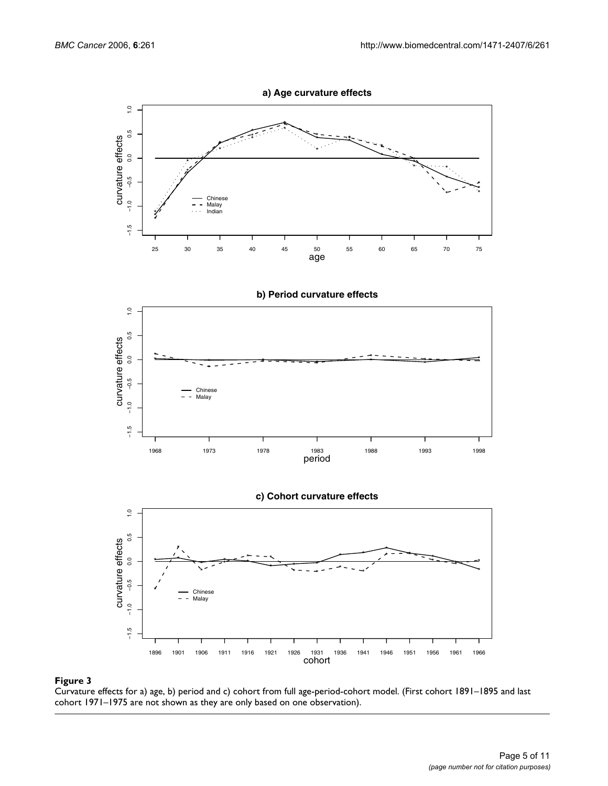





**c) Cohort curvature effects**



#### Curvature effects for a) age, b) period and c) **Figure 3** cohort from full age-period-cohort model

Curvature effects for a) age, b) period and c) cohort from full age-period-cohort model. (First cohort 1891–1895 and last cohort 1971–1975 are not shown as they are only based on one observation).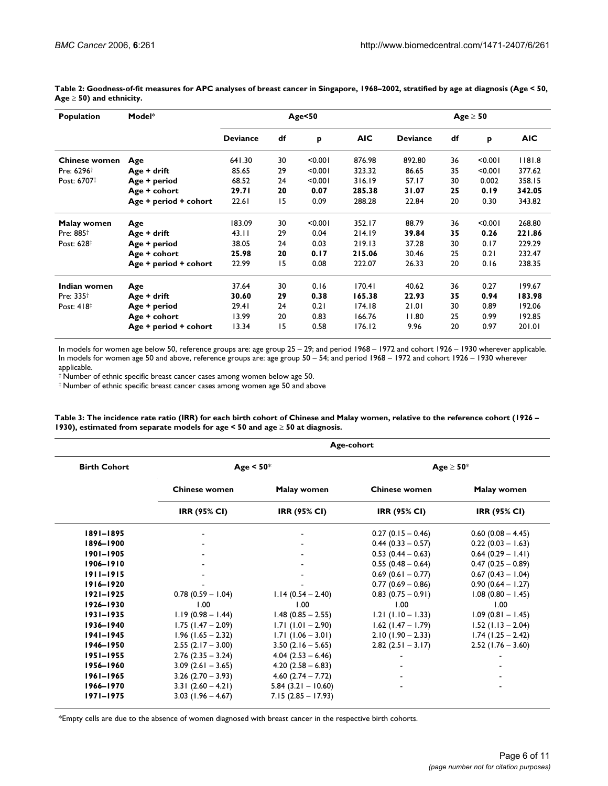| Population             | Model*                | Age<50          |    |         |            | $Age \geq 50$   |    |         |            |
|------------------------|-----------------------|-----------------|----|---------|------------|-----------------|----|---------|------------|
|                        |                       | <b>Deviance</b> | df | p       | <b>AIC</b> | <b>Deviance</b> | df | p       | <b>AIC</b> |
| <b>Chinese women</b>   | Age                   | 641.30          | 30 | < 0.001 | 876.98     | 892.80          | 36 | < 0.001 | 1181.8     |
| Pre: 6296 <sup>+</sup> | Age + drift           | 85.65           | 29 | < 0.001 | 323.32     | 86.65           | 35 | < 0.001 | 377.62     |
| Post: 6707‡            | Age + period          | 68.52           | 24 | < 0.001 | 316.19     | 57.17           | 30 | 0.002   | 358.15     |
|                        | Age + cohort          | 29.71           | 20 | 0.07    | 285.38     | 31.07           | 25 | 0.19    | 342.05     |
|                        | Age + period + cohort | 22.61           | 15 | 0.09    | 288.28     | 22.84           | 20 | 0.30    | 343.82     |
| Malay women            | Age                   | 183.09          | 30 | < 0.001 | 352.17     | 88.79           | 36 | < 0.001 | 268.80     |
| Pre: 885 <sup>+</sup>  | Age + drift           | 43.11           | 29 | 0.04    | 214.19     | 39.84           | 35 | 0.26    | 221.86     |
| Post: 628‡             | Age + period          | 38.05           | 24 | 0.03    | 219.13     | 37.28           | 30 | 0.17    | 229.29     |
|                        | Age + cohort          | 25.98           | 20 | 0.17    | 215.06     | 30.46           | 25 | 0.21    | 232.47     |
|                        | Age + period + cohort | 22.99           | 15 | 0.08    | 222.07     | 26.33           | 20 | 0.16    | 238.35     |
| Indian women           | Age                   | 37.64           | 30 | 0.16    | 170.41     | 40.62           | 36 | 0.27    | 199.67     |
| Pre: 335 <sup>+</sup>  | Age + drift           | 30.60           | 29 | 0.38    | 165.38     | 22.93           | 35 | 0.94    | 183.98     |
| Post: 418#             | Age + period          | 29.41           | 24 | 0.21    | 174.18     | 21.01           | 30 | 0.89    | 192.06     |
|                        | Age + cohort          | 13.99           | 20 | 0.83    | 166.76     | 11.80           | 25 | 0.99    | 192.85     |
|                        | Age + period + cohort | 13.34           | 15 | 0.58    | 176.12     | 9.96            | 20 | 0.97    | 201.01     |

**Table 2: Goodness-of-fit measures for APC analyses of breast cancer in Singapore, 1968–2002, stratified by age at diagnosis (Age < 50, Age** ≥ **50) and ethnicity.**

In models for women age below 50, reference groups are: age group 25 – 29; and period 1968 – 1972 and cohort 1926 – 1930 wherever applicable. In models for women age 50 and above, reference groups are: age group 50 – 54; and period 1968 – 1972 and cohort 1926 – 1930 wherever applicable.

† Number of ethnic specific breast cancer cases among women below age 50.

‡ Number of ethnic specific breast cancer cases among women age 50 and above

**Table 3: The incidence rate ratio (IRR) for each birth cohort of Chinese and Malay women, relative to the reference cohort (1926 – 1930), estimated from separate models for age < 50 and age** ≥ **50 at diagnosis.**

|                     | Age-cohort           |                         |                      |                      |  |  |  |
|---------------------|----------------------|-------------------------|----------------------|----------------------|--|--|--|
| <b>Birth Cohort</b> |                      | Age $< 50$ <sup>*</sup> | Age $\geq 50^*$      |                      |  |  |  |
|                     | <b>Chinese women</b> | Malay women             | <b>Chinese women</b> | Malay women          |  |  |  |
|                     | <b>IRR (95% CI)</b>  | <b>IRR (95% CI)</b>     | <b>IRR (95% CI)</b>  | <b>IRR (95% CI)</b>  |  |  |  |
| $1891 - 1895$       |                      |                         | $0.27(0.15 - 0.46)$  | $0.60$ (0.08 - 4.45) |  |  |  |
| 1896-1900           |                      |                         | $0.44(0.33 - 0.57)$  | $0.22(0.03 - 1.63)$  |  |  |  |
| 1901-1905           |                      |                         | $0.53(0.44 - 0.63)$  | $0.64$ (0.29 - 1.41) |  |  |  |
| 1906-1910           |                      |                         | $0.55(0.48 - 0.64)$  | $0.47(0.25 - 0.89)$  |  |  |  |
| $1911 - 1915$       |                      |                         | $0.69$ (0.61 - 0.77) | $0.67(0.43 - 1.04)$  |  |  |  |
| $1916 - 1920$       |                      |                         | $0.77(0.69 - 0.86)$  | $0.90(0.64 - 1.27)$  |  |  |  |
| $1921 - 1925$       | $0.78(0.59 - 1.04)$  | $1.14(0.54 - 2.40)$     | $0.83(0.75-0.91)$    | $1.08(0.80 - 1.45)$  |  |  |  |
| 1926-1930           | 1.00                 | 1.00                    | 1.00                 | 1.00                 |  |  |  |
| $1931 - 1935$       | $1.19(0.98 - 1.44)$  | $1.48$ (0.85 - 2.55)    | $1.21$ (1.10 – 1.33) | $1.09(0.81 - 1.45)$  |  |  |  |
| 1936-1940           | $1.75$ (1.47 – 2.09) | $1.71$ (1.01 - 2.90)    | $1.62$ (1.47 – 1.79) | $1.52$ (1.13 - 2.04) |  |  |  |
| $1941 - 1945$       | $1.96$ (1.65 - 2.32) | $1.71(1.06 - 3.01)$     | $2.10(1.90 - 2.33)$  | $1.74$ (1.25 – 2.42) |  |  |  |
| 1946-1950           | $2.55(2.17 - 3.00)$  | $3.50(2.16 - 5.65)$     | $2.82(2.51 - 3.17)$  | $2.52$ (1.76 – 3.60) |  |  |  |
| $1951 - 1955$       | $2.76$ (2.35 - 3.24) | $4.04(2.53 - 6.46)$     |                      |                      |  |  |  |
| 1956-1960           | $3.09$ (2.61 - 3.65) | $4.20(2.58 - 6.83)$     |                      |                      |  |  |  |
| $1961 - 1965$       | $3.26$ (2.70 - 3.93) | $4.60(2.74 - 7.72)$     |                      |                      |  |  |  |
| 1966-1970           | $3.31(2.60 - 4.21)$  | $5.84(3.21 - 10.60)$    |                      |                      |  |  |  |
| 1971-1975           | $3.03$ (1.96 – 4.67) | $7.15(2.85 - 17.93)$    |                      |                      |  |  |  |

\*Empty cells are due to the absence of women diagnosed with breast cancer in the respective birth cohorts.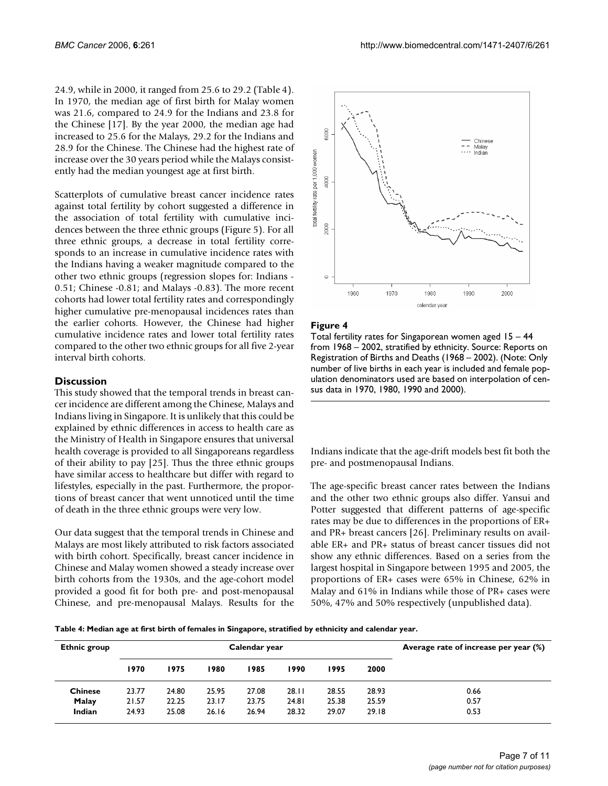24.9, while in 2000, it ranged from 25.6 to 29.2 (Table 4). In 1970, the median age of first birth for Malay women was 21.6, compared to 24.9 for the Indians and 23.8 for the Chinese [17]. By the year 2000, the median age had increased to 25.6 for the Malays, 29.2 for the Indians and 28.9 for the Chinese. The Chinese had the highest rate of increase over the 30 years period while the Malays consistently had the median youngest age at first birth.

Scatterplots of cumulative breast cancer incidence rates against total fertility by cohort suggested a difference in the association of total fertility with cumulative incidences between the three ethnic groups (Figure 5). For all three ethnic groups, a decrease in total fertility corresponds to an increase in cumulative incidence rates with the Indians having a weaker magnitude compared to the other two ethnic groups (regression slopes for: Indians - 0.51; Chinese -0.81; and Malays -0.83). The more recent cohorts had lower total fertility rates and correspondingly higher cumulative pre-menopausal incidences rates than the earlier cohorts. However, the Chinese had higher cumulative incidence rates and lower total fertility rates compared to the other two ethnic groups for all five 2-year interval birth cohorts.

## **Discussion**

This study showed that the temporal trends in breast cancer incidence are different among the Chinese, Malays and Indians living in Singapore. It is unlikely that this could be explained by ethnic differences in access to health care as the Ministry of Health in Singapore ensures that universal health coverage is provided to all Singaporeans regardless of their ability to pay [25]. Thus the three ethnic groups have similar access to healthcare but differ with regard to lifestyles, especially in the past. Furthermore, the proportions of breast cancer that went unnoticed until the time of death in the three ethnic groups were very low.

Our data suggest that the temporal trends in Chinese and Malays are most likely attributed to risk factors associated with birth cohort. Specifically, breast cancer incidence in Chinese and Malay women showed a steady increase over birth cohorts from the 1930s, and the age-cohort model provided a good fit for both pre- and post-menopausal Chinese, and pre-menopausal Malays. Results for the



#### Figure 4

Total fertility rates for Singaporean women aged  $15 - 44$ from 1968 – 2002, stratified by ethnicity. Source: Reports on Registration of Births and Deaths (1968 – 2002). (Note: Only number of live births in each year is included and female population denominators used are based on interpolation of census data in 1970, 1980, 1990 and 2000).

Indians indicate that the age-drift models best fit both the pre- and postmenopausal Indians.

The age-specific breast cancer rates between the Indians and the other two ethnic groups also differ. Yansui and Potter suggested that different patterns of age-specific rates may be due to differences in the proportions of ER+ and PR+ breast cancers [26]. Preliminary results on available ER+ and PR+ status of breast cancer tissues did not show any ethnic differences. Based on a series from the largest hospital in Singapore between 1995 and 2005, the proportions of ER+ cases were 65% in Chinese, 62% in Malay and 61% in Indians while those of PR+ cases were 50%, 47% and 50% respectively (unpublished data).

**Table 4: Median age at first birth of females in Singapore, stratified by ethnicity and calendar year.**

| <b>Ethnic group</b> | Calendar year |       |       |       |       | Average rate of increase per year (%) |       |      |
|---------------------|---------------|-------|-------|-------|-------|---------------------------------------|-------|------|
|                     | 1970          | 1975  | 1980  | 1985  | 1990  | 1995                                  | 2000  |      |
| <b>Chinese</b>      | 23.77         | 24.80 | 25.95 | 27.08 | 28.11 | 28.55                                 | 28.93 | 0.66 |
| Malay               | 21.57         | 22.25 | 23.17 | 23.75 | 24.81 | 25.38                                 | 25.59 | 0.57 |
| Indian              | 24.93         | 25.08 | 26.16 | 26.94 | 28.32 | 29.07                                 | 29.18 | 0.53 |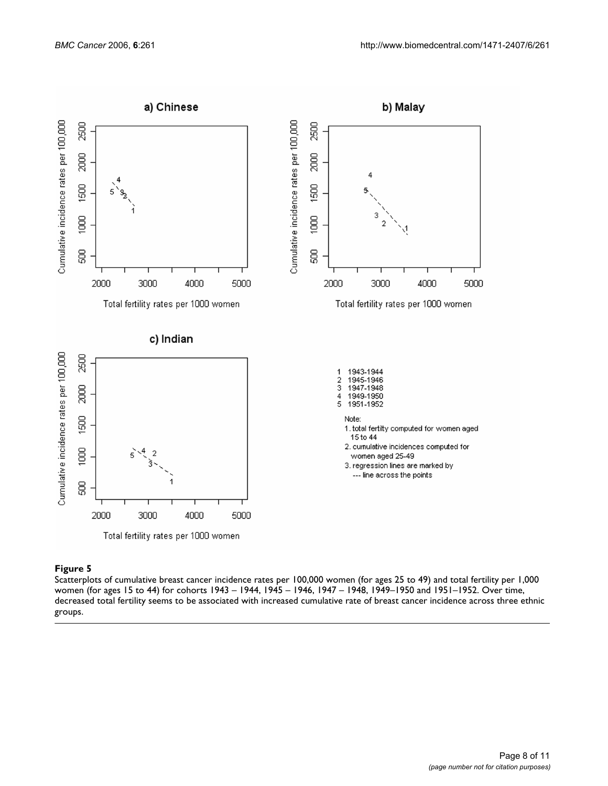

#### **Figure 5** Production of the contract of the contract of the contract of the contract of the contract of the contract of the contract of the contract of the contract of the contract of the contract of the contract of the c

Scatterplots of cumulative breast cancer incidence rates per 100,000 women (for ages 25 to 49) and total fertility per 1,000 women (for ages 15 to 44) for cohorts 1943 – 1944, 1945 – 1946, 1947 – 1948, 1949–1950 and 1951–1952. Over time, decreased total fertility seems to be associated with increased cumulative rate of breast cancer incidence across three ethnic groups.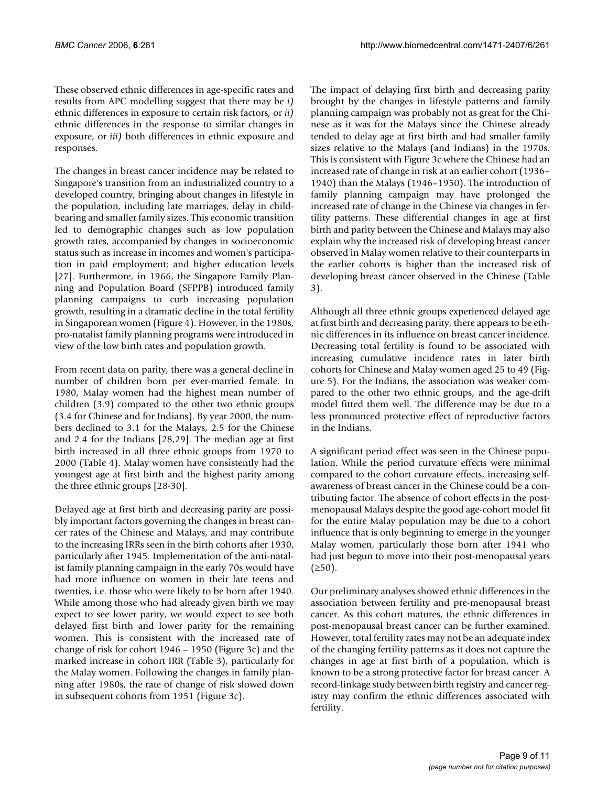These observed ethnic differences in age-specific rates and results from APC modelling suggest that there may be *i)* ethnic differences in exposure to certain risk factors, or *ii)* ethnic differences in the response to similar changes in exposure, or *iii)* both differences in ethnic exposure and responses.

The changes in breast cancer incidence may be related to Singapore's transition from an industrialized country to a developed country, bringing about changes in lifestyle in the population, including late marriages, delay in childbearing and smaller family sizes. This economic transition led to demographic changes such as low population growth rates, accompanied by changes in socioeconomic status such as increase in incomes and women's participation in paid employment; and higher education levels [27]. Furthermore, in 1966, the Singapore Family Planning and Population Board (SFPPB) introduced family planning campaigns to curb increasing population growth, resulting in a dramatic decline in the total fertility in Singaporean women (Figure 4). However, in the 1980s, pro-natalist family planning programs were introduced in view of the low birth rates and population growth.

From recent data on parity, there was a general decline in number of children born per ever-married female. In 1980, Malay women had the highest mean number of children (3.9) compared to the other two ethnic groups (3.4 for Chinese and for Indians). By year 2000, the numbers declined to 3.1 for the Malays, 2.5 for the Chinese and 2.4 for the Indians [28,29]. The median age at first birth increased in all three ethnic groups from 1970 to 2000 (Table 4). Malay women have consistently had the youngest age at first birth and the highest parity among the three ethnic groups [28-30].

Delayed age at first birth and decreasing parity are possibly important factors governing the changes in breast cancer rates of the Chinese and Malays, and may contribute to the increasing IRRs seen in the birth cohorts after 1930, particularly after 1945. Implementation of the anti-natalist family planning campaign in the early 70s would have had more influence on women in their late teens and twenties, i.e. those who were likely to be born after 1940. While among those who had already given birth we may expect to see lower parity, we would expect to see both delayed first birth and lower parity for the remaining women. This is consistent with the increased rate of change of risk for cohort 1946 – 1950 (Figure 3c) and the marked increase in cohort IRR (Table 3), particularly for the Malay women. Following the changes in family planning after 1980s, the rate of change of risk slowed down in subsequent cohorts from 1951 (Figure 3c).

The impact of delaying first birth and decreasing parity brought by the changes in lifestyle patterns and family planning campaign was probably not as great for the Chinese as it was for the Malays since the Chinese already tended to delay age at first birth and had smaller family sizes relative to the Malays (and Indians) in the 1970s. This is consistent with Figure 3c where the Chinese had an increased rate of change in risk at an earlier cohort (1936– 1940) than the Malays (1946–1950). The introduction of family planning campaign may have prolonged the increased rate of change in the Chinese via changes in fertility patterns. These differential changes in age at first birth and parity between the Chinese and Malays may also explain why the increased risk of developing breast cancer observed in Malay women relative to their counterparts in the earlier cohorts is higher than the increased risk of developing breast cancer observed in the Chinese (Table 3).

Although all three ethnic groups experienced delayed age at first birth and decreasing parity, there appears to be ethnic differences in its influence on breast cancer incidence. Decreasing total fertility is found to be associated with increasing cumulative incidence rates in later birth cohorts for Chinese and Malay women aged 25 to 49 (Figure 5). For the Indians, the association was weaker compared to the other two ethnic groups, and the age-drift model fitted them well. The difference may be due to a less pronounced protective effect of reproductive factors in the Indians.

A significant period effect was seen in the Chinese population. While the period curvature effects were minimal compared to the cohort curvature effects, increasing selfawareness of breast cancer in the Chinese could be a contributing factor. The absence of cohort effects in the postmenopausal Malays despite the good age-cohort model fit for the entire Malay population may be due to a cohort influence that is only beginning to emerge in the younger Malay women, particularly those born after 1941 who had just begun to move into their post-menopausal years  $(≥50)$ .

Our preliminary analyses showed ethnic differences in the association between fertility and pre-menopausal breast cancer. As this cohort matures, the ethnic differences in post-menopausal breast cancer can be further examined. However, total fertility rates may not be an adequate index of the changing fertility patterns as it does not capture the changes in age at first birth of a population, which is known to be a strong protective factor for breast cancer. A record-linkage study between birth registry and cancer registry may confirm the ethnic differences associated with fertility.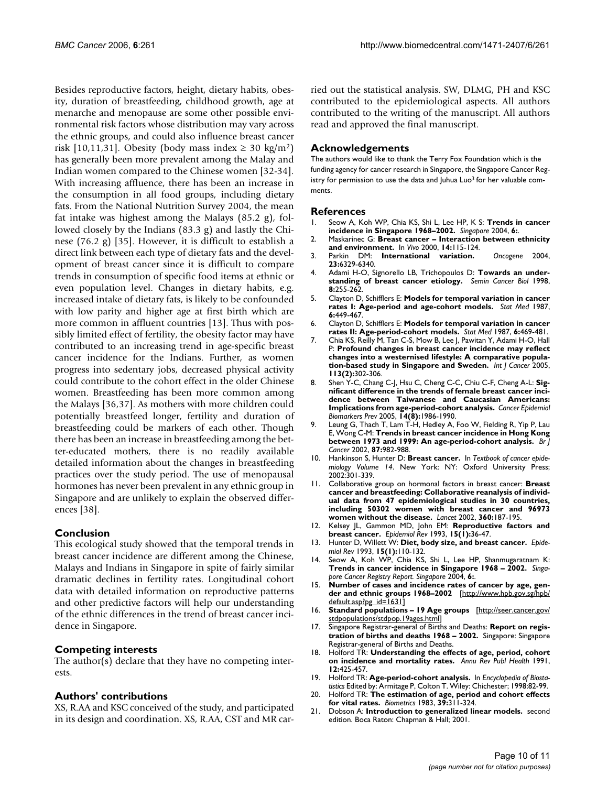Besides reproductive factors, height, dietary habits, obesity, duration of breastfeeding, childhood growth, age at menarche and menopause are some other possible environmental risk factors whose distribution may vary across the ethnic groups, and could also influence breast cancer risk [10,11,31]. Obesity (body mass index  $\geq$  30 kg/m<sup>2</sup>) has generally been more prevalent among the Malay and Indian women compared to the Chinese women [32-34]. With increasing affluence, there has been an increase in the consumption in all food groups, including dietary fats. From the National Nutrition Survey 2004, the mean fat intake was highest among the Malays (85.2 g), followed closely by the Indians (83.3 g) and lastly the Chinese (76.2 g) [35]. However, it is difficult to establish a direct link between each type of dietary fats and the development of breast cancer since it is difficult to compare trends in consumption of specific food items at ethnic or even population level. Changes in dietary habits, e.g. increased intake of dietary fats, is likely to be confounded with low parity and higher age at first birth which are more common in affluent countries [13]. Thus with possibly limited effect of fertility, the obesity factor may have contributed to an increasing trend in age-specific breast cancer incidence for the Indians. Further, as women progress into sedentary jobs, decreased physical activity could contribute to the cohort effect in the older Chinese women. Breastfeeding has been more common among the Malays [36,37]. As mothers with more children could potentially breastfeed longer, fertility and duration of breastfeeding could be markers of each other. Though there has been an increase in breastfeeding among the better-educated mothers, there is no readily available detailed information about the changes in breastfeeding practices over the study period. The use of menopausal hormones has never been prevalent in any ethnic group in Singapore and are unlikely to explain the observed differences [38].

# **Conclusion**

This ecological study showed that the temporal trends in breast cancer incidence are different among the Chinese, Malays and Indians in Singapore in spite of fairly similar dramatic declines in fertility rates. Longitudinal cohort data with detailed information on reproductive patterns and other predictive factors will help our understanding of the ethnic differences in the trend of breast cancer incidence in Singapore.

# **Competing interests**

The author(s) declare that they have no competing interests.

# **Authors' contributions**

XS, R.AA and KSC conceived of the study, and participated in its design and coordination. XS, R.AA, CST and MR carried out the statistical analysis. SW, DLMG, PH and KSC contributed to the epidemiological aspects. All authors contributed to the writing of the manuscript. All authors read and approved the final manuscript.

### **Acknowledgements**

The authors would like to thank the Terry Fox Foundation which is the funding agency for cancer research in Singapore, the Singapore Cancer Registry for permission to use the data and Juhua Luo<sup>3</sup> for her valuable comments.

#### **References**

- 1. Seow A, Koh WP, Chia KS, Shi L, Lee HP, K S: **Trends in cancer incidence in Singapore 1968–2002.** *Singapore* 2004, **6:**.
- 2. Maskarinec G: **[Breast cancer Interaction between ethnicity](http://www.ncbi.nlm.nih.gov/entrez/query.fcgi?cmd=Retrieve&db=PubMed&dopt=Abstract&list_uids=10757068) [and environment.](http://www.ncbi.nlm.nih.gov/entrez/query.fcgi?cmd=Retrieve&db=PubMed&dopt=Abstract&list_uids=10757068)** In *Vivo* 2000, **14:**115-124.
- 3. Parkin DM: **[International variation.](http://www.ncbi.nlm.nih.gov/entrez/query.fcgi?cmd=Retrieve&db=PubMed&dopt=Abstract&list_uids=15322508)** *Oncogene* 2004, **23:**6329-6340.
- 4. Adami H-O, Signorello LB, Trichopoulos D: **[Towards an under](http://www.ncbi.nlm.nih.gov/entrez/query.fcgi?cmd=Retrieve&db=PubMed&dopt=Abstract&list_uids=9870032)[standing of breast cancer etiology.](http://www.ncbi.nlm.nih.gov/entrez/query.fcgi?cmd=Retrieve&db=PubMed&dopt=Abstract&list_uids=9870032)** *Semin Cancer Biol* 1998, **8:**255-262.
- 5. Clayton D, Schifflers E: **[Models for temporal variation in cancer](http://www.ncbi.nlm.nih.gov/entrez/query.fcgi?cmd=Retrieve&db=PubMed&dopt=Abstract&list_uids=3629047) [rates I: Age-period and age-cohort models.](http://www.ncbi.nlm.nih.gov/entrez/query.fcgi?cmd=Retrieve&db=PubMed&dopt=Abstract&list_uids=3629047)** *Stat Med* 1987, **6:**449-467.
- 6. Clayton D, Schifflers E: **[Models for temporal variation in cancer](http://www.ncbi.nlm.nih.gov/entrez/query.fcgi?cmd=Retrieve&db=PubMed&dopt=Abstract&list_uids=3629048) [rates II: Age-period-cohort models.](http://www.ncbi.nlm.nih.gov/entrez/query.fcgi?cmd=Retrieve&db=PubMed&dopt=Abstract&list_uids=3629048)** *Stat Med* 1987, **6:**469-481.
- 7. Chia KS, Reilly M, Tan C-S, Mow B, Lee J, Pawitan Y, Adami H-O, Hall P: **[Profound changes in breast cancer incidence may reflect](http://www.ncbi.nlm.nih.gov/entrez/query.fcgi?cmd=Retrieve&db=PubMed&dopt=Abstract&list_uids=15386413) [changes into a westernised lifestyle: A comparative popula](http://www.ncbi.nlm.nih.gov/entrez/query.fcgi?cmd=Retrieve&db=PubMed&dopt=Abstract&list_uids=15386413)[tion-based study in Singapore and Sweden.](http://www.ncbi.nlm.nih.gov/entrez/query.fcgi?cmd=Retrieve&db=PubMed&dopt=Abstract&list_uids=15386413)** *Int J Cancer* 2005, **113(2):**302-306.
- 8. Shen Y-C, Chang C-J, Hsu C, Cheng C-C, Chiu C-F, Cheng A-L: **[Sig](http://www.ncbi.nlm.nih.gov/entrez/query.fcgi?cmd=Retrieve&db=PubMed&dopt=Abstract&list_uids=16103449)nificant difference in the trends of female breast cancer inci[dence between Taiwanese and Caucasian Americans:](http://www.ncbi.nlm.nih.gov/entrez/query.fcgi?cmd=Retrieve&db=PubMed&dopt=Abstract&list_uids=16103449) [Implications from age-period-cohort analysis.](http://www.ncbi.nlm.nih.gov/entrez/query.fcgi?cmd=Retrieve&db=PubMed&dopt=Abstract&list_uids=16103449)** *Cancer Epidemiol Biomarkers Prev* 2005, **14(8):**1986-1990.
- 9. Leung G, Thach T, Lam T-H, Hedley A, Foo W, Fielding R, Yip P, Lau E, Wong C-M: **[Trends in breast cancer incidence in Hong Kong](http://www.ncbi.nlm.nih.gov/entrez/query.fcgi?cmd=Retrieve&db=PubMed&dopt=Abstract&list_uids=12434289) [between 1973 and 1999: An age-period-cohort analysis.](http://www.ncbi.nlm.nih.gov/entrez/query.fcgi?cmd=Retrieve&db=PubMed&dopt=Abstract&list_uids=12434289)** *Br J Cancer* 2002, **87:**982-988.
- 10. Hankinson S, Hunter D: **Breast cancer.** In *Textbook of cancer epidemiology Volume 14*. New York: NY: Oxford University Press; 2002:301-339.
- 11. Collaborative group on hormonal factors in breast cancer: **[Breast](http://www.ncbi.nlm.nih.gov/entrez/query.fcgi?cmd=Retrieve&db=PubMed&dopt=Abstract&list_uids=12133652) cancer and breastfeeding: Collaborative reanalysis of individ[ual data from 47 epidemiological studies in 30 countries,](http://www.ncbi.nlm.nih.gov/entrez/query.fcgi?cmd=Retrieve&db=PubMed&dopt=Abstract&list_uids=12133652) including 50302 women with breast cancer and 96973 [women without the disease.](http://www.ncbi.nlm.nih.gov/entrez/query.fcgi?cmd=Retrieve&db=PubMed&dopt=Abstract&list_uids=12133652)** *Lancet* 2002, **360:**187-195.
- 12. Kelsey JL, Gammon MD, John EM: **[Reproductive factors and](http://www.ncbi.nlm.nih.gov/entrez/query.fcgi?cmd=Retrieve&db=PubMed&dopt=Abstract&list_uids=8405211) [breast cancer.](http://www.ncbi.nlm.nih.gov/entrez/query.fcgi?cmd=Retrieve&db=PubMed&dopt=Abstract&list_uids=8405211)** *Epidemiol Rev* 1993, **15(1):**36-47.
- 13. Hunter D, Willett W: **[Diet, body size, and breast cancer.](http://www.ncbi.nlm.nih.gov/entrez/query.fcgi?cmd=Retrieve&db=PubMed&dopt=Abstract&list_uids=8405195)** *Epidemiol Rev* 1993, **15(1):**110-132.
- Seow A, Koh WP, Chia KS, Shi L, Lee HP, Shanmugaratnam K: **Trends in cancer incidence in Singapore 1968 – 2002.** *Singapore Cancer Registry Report. Singapore* 2004, **6:**.
- 15. **Number of cases and incidence rates of cancer by age, gender and ethnic groups 1968–2002** [[http://www.hpb.gov.sg/hpb/](http://www.hpb.gov.sg/hpb/default.asp?pg_id=1631) [default.asp?pg\\_id=1631\]](http://www.hpb.gov.sg/hpb/default.asp?pg_id=1631)
- 16. **Standard populations 19 Age groups** [\[http://seer.cancer.gov/](http://seer.cancer.gov/stdpopulations/stdpop.19ages.html) [stdpopulations/stdpop.19ages.html\]](http://seer.cancer.gov/stdpopulations/stdpop.19ages.html)
- 17. Singapore Registrar-general of Births and Deaths: **Report on registration of births and deaths 1968 – 2002.** Singapore: Singapore Registrar-general of Births and Deaths.
- 18. Holford TR: **Understanding the effects of age, period, cohort on incidence and mortality rates.** *Annu Rev Publ Health* 1991, **12:**425-457.
- 19. Holford TR: **Age-period-cohort analysis.** In *Encyclopedia of Biostatistics* Edited by: Armitage P, Colton T. Wiley: Chichester; 1998:82-99.
- 20. Holford TR: **[The estimation of age, period and cohort effects](http://www.ncbi.nlm.nih.gov/entrez/query.fcgi?cmd=Retrieve&db=PubMed&dopt=Abstract&list_uids=6626659) [for vital rates.](http://www.ncbi.nlm.nih.gov/entrez/query.fcgi?cmd=Retrieve&db=PubMed&dopt=Abstract&list_uids=6626659)** *Biometrics* 1983, **39:**311-324.
- 21. Dobson A: **Introduction to generalized linear models.** second edition. Boca Raton: Chapman & Hall; 2001.